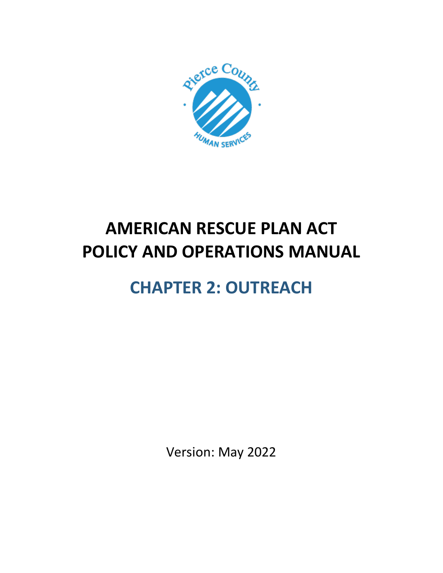

# **AMERICAN RESCUE PLAN ACT POLICY AND OPERATIONS MANUAL**

# **CHAPTER 2: OUTREACH**

Version: May 2022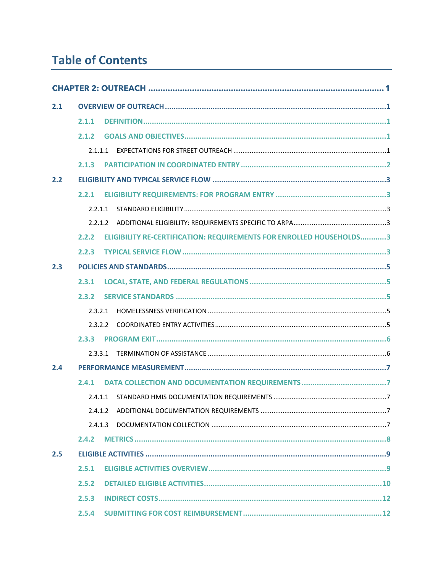# **Table of Contents**

| 2.1 |         |         |                                                                     |
|-----|---------|---------|---------------------------------------------------------------------|
|     | 2.1.1   |         |                                                                     |
|     | 2.1.2   |         |                                                                     |
|     | 2.1.1.1 |         |                                                                     |
|     | 2.1.3   |         |                                                                     |
| 2.2 |         |         |                                                                     |
|     | 2.2.1   |         |                                                                     |
|     | 2.2.1.1 |         |                                                                     |
|     |         |         |                                                                     |
|     | 2.2.2   |         | ELIGIBILITY RE-CERTIFICATION: REQUIREMENTS FOR ENROLLED HOUSEHOLDS3 |
|     | 2.2.3   |         |                                                                     |
| 2.3 |         |         |                                                                     |
|     | 2.3.1   |         |                                                                     |
|     | 2.3.2   |         |                                                                     |
|     | 2.3.2.1 |         |                                                                     |
|     |         | 2.3.2.2 |                                                                     |
|     | 2.3.3   |         |                                                                     |
|     |         | 2.3.3.1 |                                                                     |
| 2.4 |         |         |                                                                     |
|     | 2.4.1   |         |                                                                     |
|     |         |         |                                                                     |
|     | 2.4.1.2 |         |                                                                     |
|     | 2.4.1.3 |         |                                                                     |
|     | 2.4.2   |         |                                                                     |
| 2.5 |         |         |                                                                     |
|     | 2.5.1   |         |                                                                     |
|     | 2.5.2   |         |                                                                     |
|     | 2.5.3   |         |                                                                     |
|     | 2.5.4   |         |                                                                     |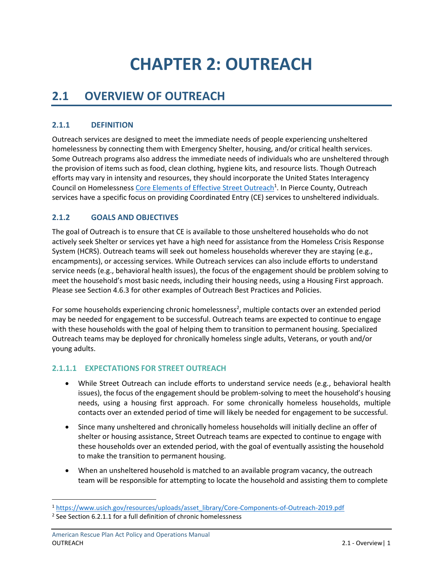# **CHAPTER 2: OUTREACH**

# <span id="page-3-1"></span><span id="page-3-0"></span>**2.1 OVERVIEW OF OUTREACH**

## <span id="page-3-2"></span>**2.1.1 DEFINITION**

Outreach services are designed to meet the immediate needs of people experiencing unsheltered homelessness by connecting them with Emergency Shelter, housing, and/or critical health services. Some Outreach programs also address the immediate needs of individuals who are unsheltered through the provision of items such as food, clean clothing, hygiene kits, and resource lists. Though Outreach efforts may vary in intensity and resources, they should incorporate the United States Interagency Council on Homelessnes[s Core Elements of Effective Street Outreach](https://www.usich.gov/resources/uploads/asset_library/Core-Components-of-Outreach-2019.pdf)<sup>1</sup>. In Pierce County, Outreach services have a specific focus on providing Coordinated Entry (CE) services to unsheltered individuals.

## <span id="page-3-3"></span>**2.1.2 GOALS AND OBJECTIVES**

The goal of Outreach is to ensure that CE is available to those unsheltered households who do not actively seek Shelter or services yet have a high need for assistance from the Homeless Crisis Response System (HCRS). Outreach teams will seek out homeless households wherever they are staying (e.g., encampments), or accessing services. While Outreach services can also include efforts to understand service needs (e.g., behavioral health issues), the focus of the engagement should be problem solving to meet the household's most basic needs, including their housing needs, using a Housing First approach. Please see Section 4.6.3 for other examples of Outreach Best Practices and Policies.

For some households experiencing chronic homelessness<sup>2</sup>, multiple contacts over an extended period may be needed for engagement to be successful. Outreach teams are expected to continue to engage with these households with the goal of helping them to transition to permanent housing. Specialized Outreach teams may be deployed for chronically homeless single adults, Veterans, or youth and/or young adults.

## <span id="page-3-4"></span>**2.1.1.1 EXPECTATIONS FOR STREET OUTREACH**

- While Street Outreach can include efforts to understand service needs (e.g., behavioral health issues), the focus of the engagement should be problem-solving to meet the household's housing needs, using a housing first approach. For some chronically homeless households, multiple contacts over an extended period of time will likely be needed for engagement to be successful.
- Since many unsheltered and chronically homeless households will initially decline an offer of shelter or housing assistance, Street Outreach teams are expected to continue to engage with these households over an extended period, with the goal of eventually assisting the household to make the transition to permanent housing.
- When an unsheltered household is matched to an available program vacancy, the outreach team will be responsible for attempting to locate the household and assisting them to complete

<sup>1</sup> [https://www.usich.gov/resources/uploads/asset\\_library/Core-Components-of-Outreach-2019.pdf](https://www.usich.gov/resources/uploads/asset_library/Core-Components-of-Outreach-2019.pdf)

 $2$  See Section 6.2.1.1 for a full definition of chronic homelessness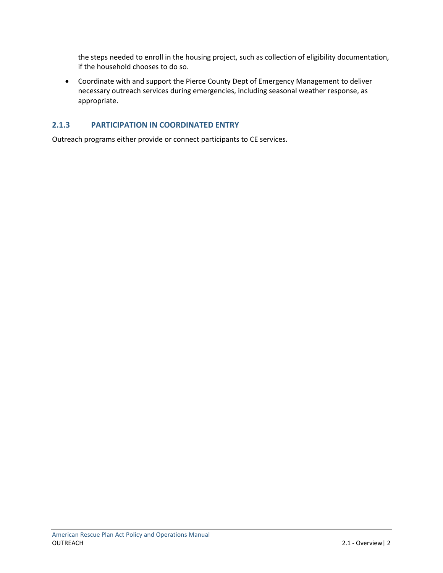the steps needed to enroll in the housing project, such as collection of eligibility documentation, if the household chooses to do so.

• Coordinate with and support the Pierce County Dept of Emergency Management to deliver necessary outreach services during emergencies, including seasonal weather response, as appropriate.

### <span id="page-4-0"></span>**2.1.3 PARTICIPATION IN COORDINATED ENTRY**

Outreach programs either provide or connect participants to CE services.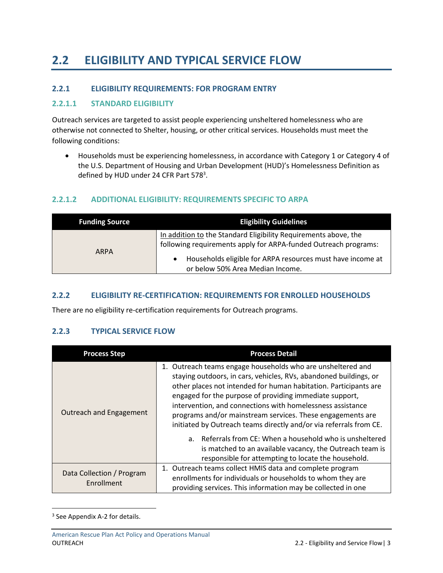# <span id="page-5-0"></span>**2.2 ELIGIBILITY AND TYPICAL SERVICE FLOW**

### <span id="page-5-1"></span>**2.2.1 ELIGIBILITY REQUIREMENTS: FOR PROGRAM ENTRY**

### <span id="page-5-2"></span>**2.2.1.1 STANDARD ELIGIBILITY**

Outreach services are targeted to assist people experiencing unsheltered homelessness who are otherwise not connected to Shelter, housing, or other critical services. Households must meet the following conditions:

• Households must be experiencing homelessness, in accordance with Category 1 or Category 4 of the U.S. Department of Housing and Urban Development (HUD)'s Homelessness Definition as defined by HUD under 24 CFR Part 578<sup>3</sup>.

### <span id="page-5-3"></span>**2.2.1.2 ADDITIONAL ELIGIBILITY: REQUIREMENTS SPECIFIC TO ARPA**

| <b>Funding Source</b> | <b>Eligibility Guidelines</b>                                                                                                      |
|-----------------------|------------------------------------------------------------------------------------------------------------------------------------|
| <b>ARPA</b>           | In addition to the Standard Eligibility Requirements above, the<br>following requirements apply for ARPA-funded Outreach programs: |
|                       | Households eligible for ARPA resources must have income at<br>or below 50% Area Median Income.                                     |

### <span id="page-5-4"></span>**2.2.2 ELIGIBILITY RE-CERTIFICATION: REQUIREMENTS FOR ENROLLED HOUSEHOLDS**

There are no eligibility re-certification requirements for Outreach programs.

### <span id="page-5-5"></span>**2.2.3 TYPICAL SERVICE FLOW**

| <b>Process Step</b>                     | <b>Process Detail</b>                                                                                                                                                                                                                                                                                                                                                                                                                                                                                                                                                                                                                             |
|-----------------------------------------|---------------------------------------------------------------------------------------------------------------------------------------------------------------------------------------------------------------------------------------------------------------------------------------------------------------------------------------------------------------------------------------------------------------------------------------------------------------------------------------------------------------------------------------------------------------------------------------------------------------------------------------------------|
| <b>Outreach and Engagement</b>          | 1. Outreach teams engage households who are unsheltered and<br>staying outdoors, in cars, vehicles, RVs, abandoned buildings, or<br>other places not intended for human habitation. Participants are<br>engaged for the purpose of providing immediate support,<br>intervention, and connections with homelessness assistance<br>programs and/or mainstream services. These engagements are<br>initiated by Outreach teams directly and/or via referrals from CE.<br>a. Referrals from CE: When a household who is unsheltered<br>is matched to an available vacancy, the Outreach team is<br>responsible for attempting to locate the household. |
| Data Collection / Program<br>Enrollment | 1. Outreach teams collect HMIS data and complete program<br>enrollments for individuals or households to whom they are<br>providing services. This information may be collected in one                                                                                                                                                                                                                                                                                                                                                                                                                                                            |

<sup>&</sup>lt;sup>3</sup> See Appendix A-2 for details.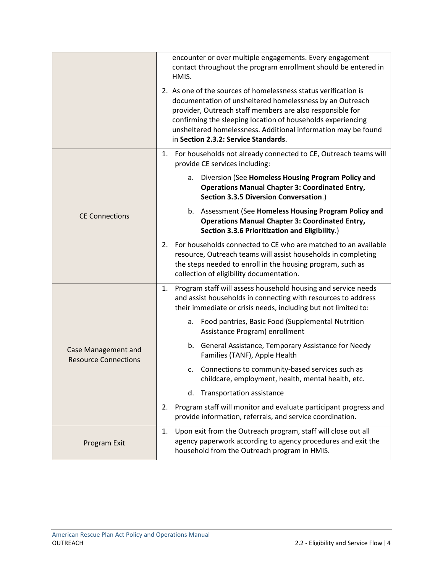|                                                    | encounter or over multiple engagements. Every engagement<br>contact throughout the program enrollment should be entered in<br>HMIS.                                                                                                                                                                                                                              |
|----------------------------------------------------|------------------------------------------------------------------------------------------------------------------------------------------------------------------------------------------------------------------------------------------------------------------------------------------------------------------------------------------------------------------|
|                                                    | 2. As one of the sources of homelessness status verification is<br>documentation of unsheltered homelessness by an Outreach<br>provider, Outreach staff members are also responsible for<br>confirming the sleeping location of households experiencing<br>unsheltered homelessness. Additional information may be found<br>in Section 2.3.2: Service Standards. |
|                                                    | 1. For households not already connected to CE, Outreach teams will<br>provide CE services including:                                                                                                                                                                                                                                                             |
|                                                    | Diversion (See Homeless Housing Program Policy and<br>а.<br><b>Operations Manual Chapter 3: Coordinated Entry,</b><br>Section 3.3.5 Diversion Conversation.)                                                                                                                                                                                                     |
| <b>CE Connections</b>                              | b. Assessment (See Homeless Housing Program Policy and<br><b>Operations Manual Chapter 3: Coordinated Entry,</b><br>Section 3.3.6 Prioritization and Eligibility.)                                                                                                                                                                                               |
|                                                    | 2. For households connected to CE who are matched to an available<br>resource, Outreach teams will assist households in completing<br>the steps needed to enroll in the housing program, such as<br>collection of eligibility documentation.                                                                                                                     |
|                                                    | Program staff will assess household housing and service needs<br>1.<br>and assist households in connecting with resources to address<br>their immediate or crisis needs, including but not limited to:                                                                                                                                                           |
|                                                    | Food pantries, Basic Food (Supplemental Nutrition<br>а.<br>Assistance Program) enrollment                                                                                                                                                                                                                                                                        |
| Case Management and<br><b>Resource Connections</b> | b. General Assistance, Temporary Assistance for Needy<br>Families (TANF), Apple Health                                                                                                                                                                                                                                                                           |
|                                                    | Connections to community-based services such as<br>c.<br>childcare, employment, health, mental health, etc.                                                                                                                                                                                                                                                      |
|                                                    | Transportation assistance<br>d.                                                                                                                                                                                                                                                                                                                                  |
|                                                    | Program staff will monitor and evaluate participant progress and<br>2.<br>provide information, referrals, and service coordination.                                                                                                                                                                                                                              |
| Program Exit                                       | Upon exit from the Outreach program, staff will close out all<br>1.<br>agency paperwork according to agency procedures and exit the<br>household from the Outreach program in HMIS.                                                                                                                                                                              |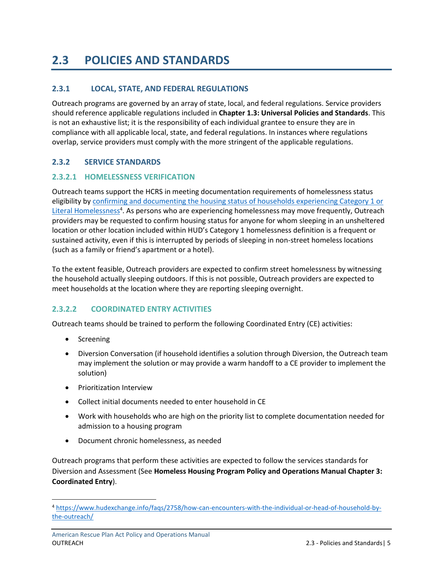# <span id="page-7-0"></span>**2.3 POLICIES AND STANDARDS**

# <span id="page-7-1"></span>**2.3.1 LOCAL, STATE, AND FEDERAL REGULATIONS**

Outreach programs are governed by an array of state, local, and federal regulations. Service providers should reference applicable regulations included in **Chapter 1.3: Universal Policies and Standards**. This is not an exhaustive list; it is the responsibility of each individual grantee to ensure they are in compliance with all applicable local, state, and federal regulations. In instances where regulations overlap, service providers must comply with the more stringent of the applicable regulations.

## <span id="page-7-2"></span>**2.3.2 SERVICE STANDARDS**

### <span id="page-7-3"></span>**2.3.2.1 HOMELESSNESS VERIFICATION**

Outreach teams support the HCRS in meeting documentation requirements of homelessness status eligibility by [confirming and documenting the housing status of households experiencing Category 1 or](https://www.hudexchange.info/faqs/2758/how-can-encounters-with-the-individual-or-head-of-household-by-the-outreach/)  [Literal Homelessness](https://www.hudexchange.info/faqs/2758/how-can-encounters-with-the-individual-or-head-of-household-by-the-outreach/)<sup>4</sup>. As persons who are experiencing homelessness may move frequently, Outreach providers may be requested to confirm housing status for anyone for whom sleeping in an unsheltered location or other location included within HUD's Category 1 homelessness definition is a frequent or sustained activity, even if this is interrupted by periods of sleeping in non-street homeless locations (such as a family or friend's apartment or a hotel).

To the extent feasible, Outreach providers are expected to confirm street homelessness by witnessing the household actually sleeping outdoors. If this is not possible, Outreach providers are expected to meet households at the location where they are reporting sleeping overnight.

### <span id="page-7-4"></span>**2.3.2.2 COORDINATED ENTRY ACTIVITIES**

Outreach teams should be trained to perform the following Coordinated Entry (CE) activities:

- Screening
- Diversion Conversation (if household identifies a solution through Diversion, the Outreach team may implement the solution or may provide a warm handoff to a CE provider to implement the solution)
- Prioritization Interview
- Collect initial documents needed to enter household in CE
- Work with households who are high on the priority list to complete documentation needed for admission to a housing program
- Document chronic homelessness, as needed

Outreach programs that perform these activities are expected to follow the services standards for Diversion and Assessment (See **Homeless Housing Program Policy and Operations Manual Chapter 3: Coordinated Entry**).

<sup>4</sup> [https://www.hudexchange.info/faqs/2758/how-can-encounters-with-the-individual-or-head-of-household-by](https://www.hudexchange.info/faqs/2758/how-can-encounters-with-the-individual-or-head-of-household-by-the-outreach/)[the-outreach/](https://www.hudexchange.info/faqs/2758/how-can-encounters-with-the-individual-or-head-of-household-by-the-outreach/)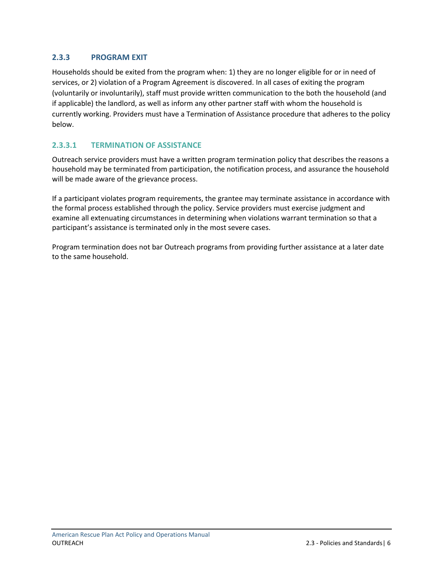# <span id="page-8-0"></span>**2.3.3 PROGRAM EXIT**

Households should be exited from the program when: 1) they are no longer eligible for or in need of services, or 2) violation of a Program Agreement is discovered. In all cases of exiting the program (voluntarily or involuntarily), staff must provide written communication to the both the household (and if applicable) the landlord, as well as inform any other partner staff with whom the household is currently working. Providers must have a Termination of Assistance procedure that adheres to the policy below.

# <span id="page-8-1"></span>**2.3.3.1 TERMINATION OF ASSISTANCE**

Outreach service providers must have a written program termination policy that describes the reasons a household may be terminated from participation, the notification process, and assurance the household will be made aware of the grievance process.

If a participant violates program requirements, the grantee may terminate assistance in accordance with the formal process established through the policy. Service providers must exercise judgment and examine all extenuating circumstances in determining when violations warrant termination so that a participant's assistance is terminated only in the most severe cases.

Program termination does not bar Outreach programs from providing further assistance at a later date to the same household.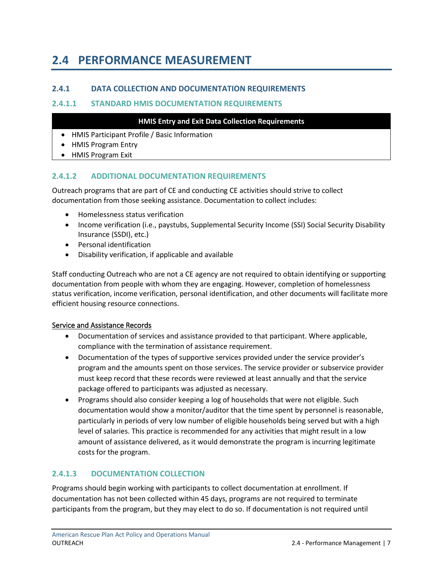# <span id="page-9-0"></span>**2.4 PERFORMANCE MEASUREMENT**

## <span id="page-9-1"></span>**2.4.1 DATA COLLECTION AND DOCUMENTATION REQUIREMENTS**

### <span id="page-9-2"></span>**2.4.1.1 STANDARD HMIS DOCUMENTATION REQUIREMENTS**

#### **HMIS Entry and Exit Data Collection Requirements**

- HMIS Participant Profile / Basic Information
- HMIS Program Entry
- HMIS Program Exit

### <span id="page-9-3"></span>**2.4.1.2 ADDITIONAL DOCUMENTATION REQUIREMENTS**

Outreach programs that are part of CE and conducting CE activities should strive to collect documentation from those seeking assistance. Documentation to collect includes:

- Homelessness status verification
- Income verification (i.e., paystubs, Supplemental Security Income (SSI) Social Security Disability Insurance (SSDI), etc.)
- Personal identification
- Disability verification, if applicable and available

Staff conducting Outreach who are not a CE agency are not required to obtain identifying or supporting documentation from people with whom they are engaging. However, completion of homelessness status verification, income verification, personal identification, and other documents will facilitate more efficient housing resource connections.

#### Service and Assistance Records

- Documentation of services and assistance provided to that participant. Where applicable, compliance with the termination of assistance requirement.
- Documentation of the types of supportive services provided under the service provider's program and the amounts spent on those services. The service provider or subservice provider must keep record that these records were reviewed at least annually and that the service package offered to participants was adjusted as necessary.
- Programs should also consider keeping a log of households that were not eligible. Such documentation would show a monitor/auditor that the time spent by personnel is reasonable, particularly in periods of very low number of eligible households being served but with a high level of salaries. This practice is recommended for any activities that might result in a low amount of assistance delivered, as it would demonstrate the program is incurring legitimate costs for the program.

## <span id="page-9-4"></span>**2.4.1.3 DOCUMENTATION COLLECTION**

Programs should begin working with participants to collect documentation at enrollment. If documentation has not been collected within 45 days, programs are not required to terminate participants from the program, but they may elect to do so. If documentation is not required until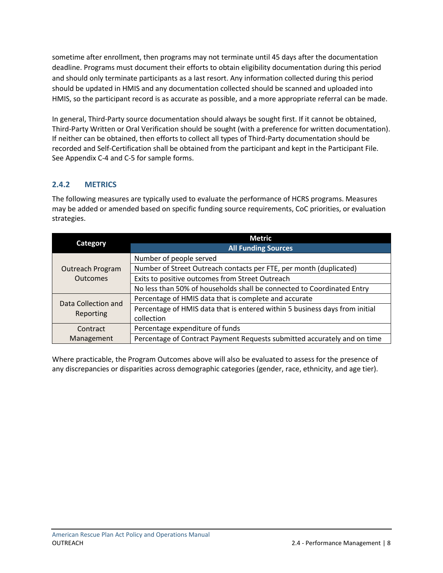sometime after enrollment, then programs may not terminate until 45 days after the documentation deadline. Programs must document their efforts to obtain eligibility documentation during this period and should only terminate participants as a last resort. Any information collected during this period should be updated in HMIS and any documentation collected should be scanned and uploaded into HMIS, so the participant record is as accurate as possible, and a more appropriate referral can be made.

In general, Third-Party source documentation should always be sought first. If it cannot be obtained, Third-Party Written or Oral Verification should be sought (with a preference for written documentation). If neither can be obtained, then efforts to collect all types of Third-Party documentation should be recorded and Self-Certification shall be obtained from the participant and kept in the Participant File. See Appendix C-4 and C-5 for sample forms.

# <span id="page-10-0"></span>**2.4.2 METRICS**

The following measures are typically used to evaluate the performance of HCRS programs. Measures may be added or amended based on specific funding source requirements, CoC priorities, or evaluation strategies.

|                         | <b>Metric</b>                                                               |
|-------------------------|-----------------------------------------------------------------------------|
| Category                | <b>All Funding Sources</b>                                                  |
|                         | Number of people served                                                     |
| <b>Outreach Program</b> | Number of Street Outreach contacts per FTE, per month (duplicated)          |
| Outcomes                | Exits to positive outcomes from Street Outreach                             |
|                         | No less than 50% of households shall be connected to Coordinated Entry      |
| Data Collection and     | Percentage of HMIS data that is complete and accurate                       |
| Reporting               | Percentage of HMIS data that is entered within 5 business days from initial |
|                         | collection                                                                  |
| Contract                | Percentage expenditure of funds                                             |
| Management              | Percentage of Contract Payment Requests submitted accurately and on time    |

Where practicable, the Program Outcomes above will also be evaluated to assess for the presence of any discrepancies or disparities across demographic categories (gender, race, ethnicity, and age tier).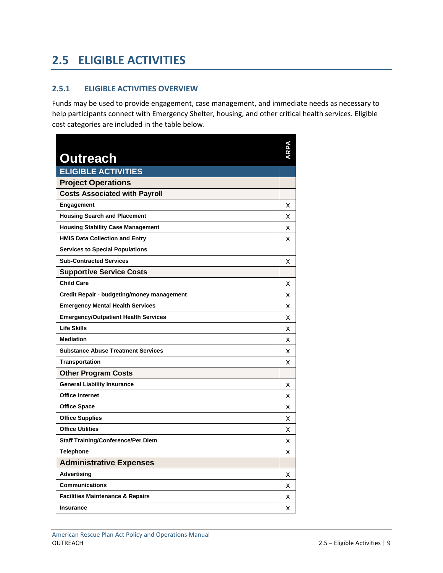# <span id="page-11-0"></span>**2.5 ELIGIBLE ACTIVITIES**

### <span id="page-11-1"></span>**2.5.1 ELIGIBLE ACTIVITIES OVERVIEW**

Funds may be used to provide engagement, case management, and immediate needs as necessary to help participants connect with Emergency Shelter, housing, and other critical health services. Eligible cost categories are included in the table below.

| <b>Outreach</b>                             |   |
|---------------------------------------------|---|
| <b>ELIGIBLE ACTIVITIES</b>                  |   |
| <b>Project Operations</b>                   |   |
| <b>Costs Associated with Payroll</b>        |   |
| <b>Engagement</b>                           | x |
| <b>Housing Search and Placement</b>         | x |
| <b>Housing Stability Case Management</b>    | х |
| <b>HMIS Data Collection and Entry</b>       | x |
| <b>Services to Special Populations</b>      |   |
| <b>Sub-Contracted Services</b>              | x |
| <b>Supportive Service Costs</b>             |   |
| <b>Child Care</b>                           | x |
| Credit Repair - budgeting/money management  | х |
| <b>Emergency Mental Health Services</b>     | x |
| <b>Emergency/Outpatient Health Services</b> | x |
| <b>Life Skills</b>                          | x |
| <b>Mediation</b>                            | x |
| <b>Substance Abuse Treatment Services</b>   | x |
| <b>Transportation</b>                       | x |
| <b>Other Program Costs</b>                  |   |
| <b>General Liability Insurance</b>          | x |
| <b>Office Internet</b>                      | х |
| <b>Office Space</b>                         | x |
| <b>Office Supplies</b>                      | x |
| <b>Office Utilities</b>                     | x |
| <b>Staff Training/Conference/Per Diem</b>   | x |
| <b>Telephone</b>                            | x |
| <b>Administrative Expenses</b>              |   |
| <b>Advertising</b>                          | х |
| <b>Communications</b>                       | x |
| <b>Facilities Maintenance &amp; Repairs</b> | х |
| <b>Insurance</b>                            | X |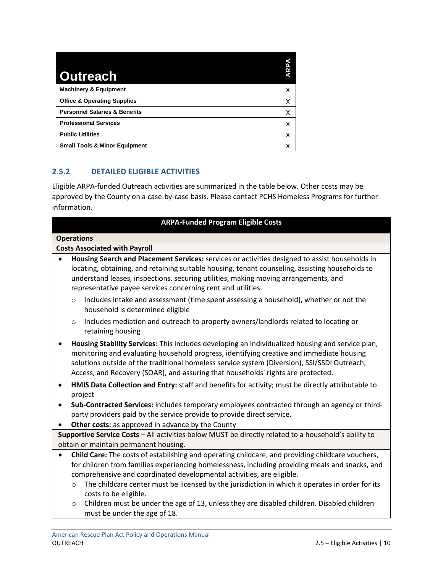| <b>Outreach</b>                          | <b>ARPA</b> |
|------------------------------------------|-------------|
| <b>Machinery &amp; Equipment</b>         | х           |
| <b>Office &amp; Operating Supplies</b>   | x           |
| <b>Personnel Salaries &amp; Benefits</b> | x           |
| <b>Professional Services</b>             | x           |
| <b>Public Utilities</b>                  | x           |
| <b>Small Tools &amp; Minor Equipment</b> | х           |

# <span id="page-12-0"></span>**2.5.2 DETAILED ELIGIBLE ACTIVITIES**

Eligible ARPA-funded Outreach activities are summarized in the table below. Other costs may be approved by the County on a case-by-case basis. Please contact PCHS Homeless Programs for further information.

| <b>ARPA-Funded Program Eligible Costs</b>                                                            |                                                                                                                                                                                                                                                                                                                                                                                  |  |  |
|------------------------------------------------------------------------------------------------------|----------------------------------------------------------------------------------------------------------------------------------------------------------------------------------------------------------------------------------------------------------------------------------------------------------------------------------------------------------------------------------|--|--|
|                                                                                                      | <b>Operations</b>                                                                                                                                                                                                                                                                                                                                                                |  |  |
|                                                                                                      | <b>Costs Associated with Payroll</b>                                                                                                                                                                                                                                                                                                                                             |  |  |
|                                                                                                      | Housing Search and Placement Services: services or activities designed to assist households in<br>locating, obtaining, and retaining suitable housing, tenant counseling, assisting households to<br>understand leases, inspections, securing utilities, making moving arrangements, and<br>representative payee services concerning rent and utilities.                         |  |  |
|                                                                                                      | Includes intake and assessment (time spent assessing a household), whether or not the<br>$\circ$<br>household is determined eligible                                                                                                                                                                                                                                             |  |  |
|                                                                                                      | Includes mediation and outreach to property owners/landlords related to locating or<br>$\circ$<br>retaining housing                                                                                                                                                                                                                                                              |  |  |
| $\bullet$                                                                                            | Housing Stability Services: This includes developing an individualized housing and service plan,<br>monitoring and evaluating household progress, identifying creative and immediate housing<br>solutions outside of the traditional homeless service system (Diversion), SSI/SSDI Outreach,<br>Access, and Recovery (SOAR), and assuring that households' rights are protected. |  |  |
| $\bullet$                                                                                            | HMIS Data Collection and Entry: staff and benefits for activity; must be directly attributable to<br>project                                                                                                                                                                                                                                                                     |  |  |
| $\bullet$                                                                                            | Sub-Contracted Services: includes temporary employees contracted through an agency or third-<br>party providers paid by the service provide to provide direct service.                                                                                                                                                                                                           |  |  |
| $\bullet$                                                                                            | Other costs: as approved in advance by the County                                                                                                                                                                                                                                                                                                                                |  |  |
| Supportive Service Costs - All activities below MUST be directly related to a household's ability to |                                                                                                                                                                                                                                                                                                                                                                                  |  |  |
|                                                                                                      | obtain or maintain permanent housing.                                                                                                                                                                                                                                                                                                                                            |  |  |
| $\bullet$                                                                                            | Child Care: The costs of establishing and operating childcare, and providing childcare vouchers,<br>for children from families experiencing homelessness, including providing meals and snacks, and<br>comprehensive and coordinated developmental activities, are eligible.                                                                                                     |  |  |
|                                                                                                      | The childcare center must be licensed by the jurisdiction in which it operates in order for its<br>$\circ$<br>costs to be eligible.                                                                                                                                                                                                                                              |  |  |
|                                                                                                      | Children must be under the age of 13, unless they are disabled children. Disabled children<br>$\circ$<br>must be under the age of 18.                                                                                                                                                                                                                                            |  |  |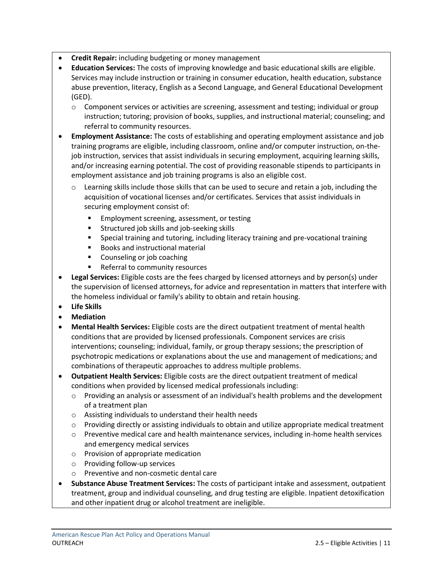- **Credit Repair:** including budgeting or money management
- **Education Services:** The costs of improving knowledge and basic educational skills are eligible. Services may include instruction or training in consumer education, health education, substance abuse prevention, literacy, English as a Second Language, and General Educational Development (GED).
	- o Component services or activities are screening, assessment and testing; individual or group instruction; tutoring; provision of books, supplies, and instructional material; counseling; and referral to community resources.
- **Employment Assistance:** The costs of establishing and operating employment assistance and job training programs are eligible, including classroom, online and/or computer instruction, on-thejob instruction, services that assist individuals in securing employment, acquiring learning skills, and/or increasing earning potential. The cost of providing reasonable stipends to participants in employment assistance and job training programs is also an eligible cost.
	- o Learning skills include those skills that can be used to secure and retain a job, including the acquisition of vocational licenses and/or certificates. Services that assist individuals in securing employment consist of:
		- **Employment screening, assessment, or testing**
		- Structured job skills and job-seeking skills
		- Special training and tutoring, including literacy training and pre-vocational training
		- Books and instructional material
		- Counseling or job coaching
		- Referral to community resources
- **Legal Services:** Eligible costs are the fees charged by licensed attorneys and by person(s) under the supervision of licensed attorneys, for advice and representation in matters that interfere with the homeless individual or family's ability to obtain and retain housing.
- **Life Skills**
- **Mediation**
- **Mental Health Services:** Eligible costs are the direct outpatient treatment of mental health conditions that are provided by licensed professionals. Component services are crisis interventions; counseling; individual, family, or group therapy sessions; the prescription of psychotropic medications or explanations about the use and management of medications; and combinations of therapeutic approaches to address multiple problems.
- **Outpatient Health Services:** Eligible costs are the direct outpatient treatment of medical conditions when provided by licensed medical professionals including:
	- o Providing an analysis or assessment of an individual's health problems and the development of a treatment plan
	- o Assisting individuals to understand their health needs
	- o Providing directly or assisting individuals to obtain and utilize appropriate medical treatment
	- o Preventive medical care and health maintenance services, including in-home health services and emergency medical services
	- o Provision of appropriate medication
	- o Providing follow-up services
	- o Preventive and non-cosmetic dental care
- **Substance Abuse Treatment Services:** The costs of participant intake and assessment, outpatient treatment, group and individual counseling, and drug testing are eligible. Inpatient detoxification and other inpatient drug or alcohol treatment are ineligible.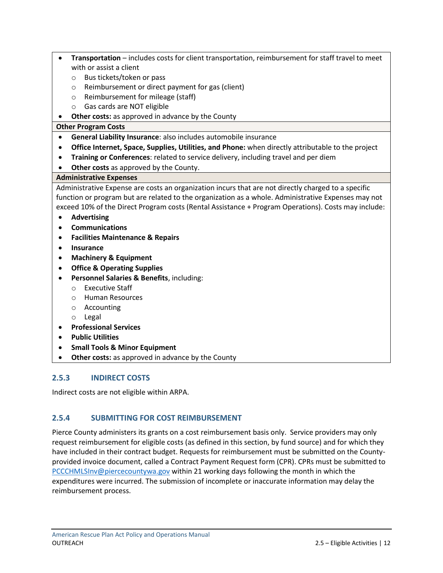- **Transportation** includes costs for client transportation, reimbursement for staff travel to meet with or assist a client
	- o Bus tickets/token or pass
	- o Reimbursement or direct payment for gas (client)
	- o Reimbursement for mileage (staff)
	- o Gas cards are NOT eligible
- **Other costs:** as approved in advance by the County

### **Other Program Costs**

- **General Liability Insurance**: also includes automobile insurance
- **Office Internet, Space, Supplies, Utilities, and Phone:** when directly attributable to the project
- **Training or Conferences**: related to service delivery, including travel and per diem
- **Other costs** as approved by the County.

### **Administrative Expenses**

Administrative Expense are costs an organization incurs that are not directly charged to a specific function or program but are related to the organization as a whole. Administrative Expenses may not exceed 10% of the Direct Program costs (Rental Assistance + Program Operations). Costs may include:

- **Advertising**
- **Communications**
- **Facilities Maintenance & Repairs**
- **Insurance**
- **Machinery & Equipment**
- **Office & Operating Supplies**
- **Personnel Salaries & Benefits**, including:
	- o Executive Staff
	- o Human Resources
	- o Accounting
	- o Legal
- **Professional Services**
- **Public Utilities**
- **Small Tools & Minor Equipment**
- **Other costs:** as approved in advance by the County

# <span id="page-14-0"></span>**2.5.3 INDIRECT COSTS**

Indirect costs are not eligible within ARPA.

## <span id="page-14-1"></span>**2.5.4 SUBMITTING FOR COST REIMBURSEMENT**

Pierce County administers its grants on a cost reimbursement basis only. Service providers may only request reimbursement for eligible costs (as defined in this section, by fund source) and for which they have included in their contract budget. Requests for reimbursement must be submitted on the Countyprovided invoice document, called a Contract Payment Request form (CPR). CPRs must be submitted to [PCCCHMLSInv@piercecountywa.gov](mailto:PCCCHMLSInv@piercecountywa.gov) within 21 working days following the month in which the expenditures were incurred. The submission of incomplete or inaccurate information may delay the reimbursement process.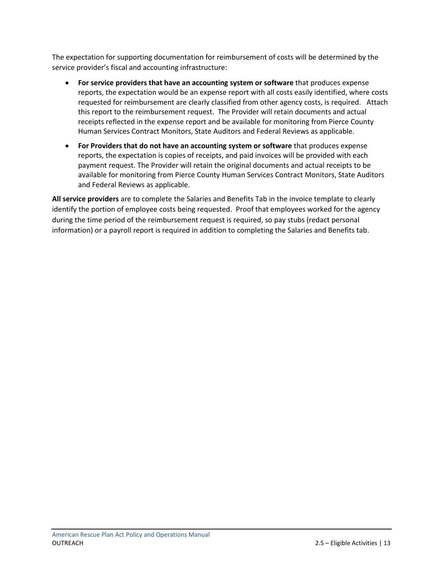The expectation for supporting documentation for reimbursement of costs will be determined by the service provider's fiscal and accounting infrastructure:

- **For service providers that have an accounting system or software** that produces expense reports, the expectation would be an expense report with all costs easily identified, where costs requested for reimbursement are clearly classified from other agency costs, is required. Attach this report to the reimbursement request. The Provider will retain documents and actual receipts reflected in the expense report and be available for monitoring from Pierce County Human Services Contract Monitors, State Auditors and Federal Reviews as applicable.
- **For Providers that do not have an accounting system or software** that produces expense reports, the expectation is copies of receipts, and paid invoices will be provided with each payment request. The Provider will retain the original documents and actual receipts to be available for monitoring from Pierce County Human Services Contract Monitors, State Auditors and Federal Reviews as applicable.

**All service providers** are to complete the Salaries and Benefits Tab in the invoice template to clearly identify the portion of employee costs being requested. Proof that employees worked for the agency during the time period of the reimbursement request is required, so pay stubs (redact personal information) or a payroll report is required in addition to completing the Salaries and Benefits tab.